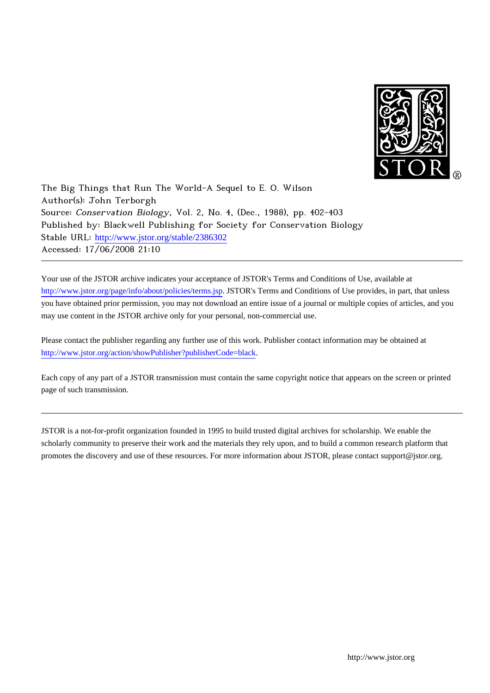

The Big Things that Run The World-A Sequel to E. O. Wilson Author(s): John Terborgh Source: Conservation Biology, Vol. 2, No. 4, (Dec., 1988), pp. 402-403 Published by: Blackwell Publishing for Society for Conservation Biology Stable URL: [http://www.jstor.org/stable/2386302](http://www.jstor.org/stable/2386302?origin=JSTOR-pdf) Accessed: 17/06/2008 21:10

Your use of the JSTOR archive indicates your acceptance of JSTOR's Terms and Conditions of Use, available at <http://www.jstor.org/page/info/about/policies/terms.jsp>. JSTOR's Terms and Conditions of Use provides, in part, that unless you have obtained prior permission, you may not download an entire issue of a journal or multiple copies of articles, and you may use content in the JSTOR archive only for your personal, non-commercial use.

Please contact the publisher regarding any further use of this work. Publisher contact information may be obtained at [http://www.jstor.org/action/showPublisher?publisherCode=black.](http://www.jstor.org/action/showPublisher?publisherCode=black)

Each copy of any part of a JSTOR transmission must contain the same copyright notice that appears on the screen or printed page of such transmission.

JSTOR is a not-for-profit organization founded in 1995 to build trusted digital archives for scholarship. We enable the scholarly community to preserve their work and the materials they rely upon, and to build a common research platform that promotes the discovery and use of these resources. For more information about JSTOR, please contact support@jstor.org.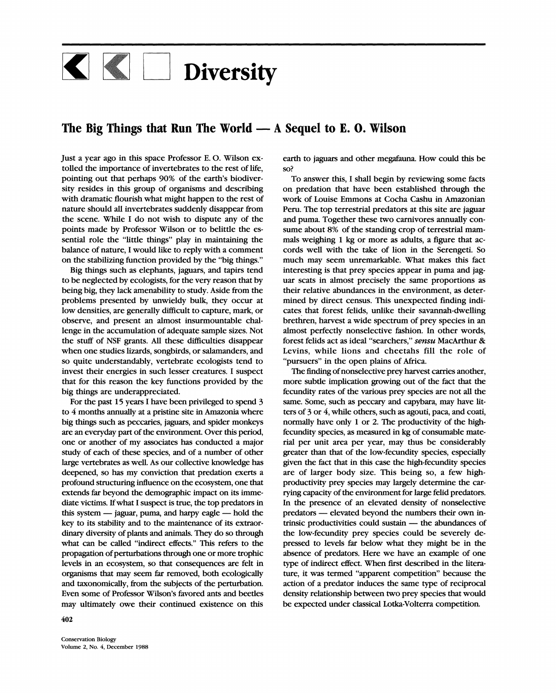## K Diversity

## The Big Things that Run The World — A Sequel to E. O. Wilson

Just a year ago in this space Professor E.O. Wilson extolled the importance of invertebrates to the rest of life, pointing out that perhaps 90% of the earth's biodiversity resides in this group of organisms and describing with dramatic flourish what might happen to the rest of nature should all invertebrates suddenly disappear from the scene. While I do not wish to dispute any of the points made by Professor Wilson or to belittle the essential role the "little things" play in maintaining the balance of nature, I would like to reply with a comment on the stabilizing function provided by the "big things."

Big things such as elephants, jaguars, and tapirs tend to be neglected by ecologists, for the very reason that by being big, they lack amenability to study. Aside from the problems presented by unwieldy bulk, they occur at low densities, are generally difficult to capture, mark, or observe, and present an almost insurmountable challenge in the accumulation of adequate sample sizes. Not the stuff of NSF grants. All these difficulties disappear when one studies lizards, songbirds, or salamanders, and so quite understandably, vertebrate ecologists tend to invest their energies in such lesser creatures. I suspect that for this reason the key functions provided by the big things are underappreciated.

For the past 15 years I have been privileged to spend 3 to 4 months annually at a pristine site in Amazonia where big things such as peccaries, jaguars, and spider monkeys are an everyday part of the environment. Over this period, one or another of my associates has conducted a major study of each of these species, and of a number of other large vertebrates as well. As our collective knowledge has deepened, so has my conviction that predation exerts a profound structuring influence on the ecosystem, one that extends far beyond the demographic impact on its immediate victims. If what I suspect is true, the top predators in this system — jaguar, puma, and harpy eagle — hold the key to its stability and to the maintenance of its extraordinary diversity of plants and animals. They do so through what can be called "indirect effects." This refers to the propagation of perturbations through one or more trophic levels in an ecosystem, so that consequences are felt in organisms that may seem far removed, both ecologically and taxonomically, from the subjects of the perturbation. Even some of Professor Wilson's favored ants and beetles may ultimately owe their continued existence on this

402

earth to jaguars and other megafauna. How could this be so?

To answer this, I shall begin by reviewing some facts on predation that have been established through the work of Louise Emmons at Cocha Cashu in Amazonian Peru. The top terrestrial predators at this site are jaguar and puma. Together these two carnivores annually consume about 8% of the standing crop of terrestrial mammals weighing 1 kg or more as adults, a figure that accords well with the take of lion in the Serengeti. So much may seem unremarkable. What makes this fact interesting is that prey species appear in puma and jaguar scats in almost precisely the same proportions as their relative abundances in the environment, as determined by direct census. This unexpected finding indicates that forest felids, unlike their savannah-dwelling brethren, harvest a wide spectrum of prey species in an almost perfectly nonselective fashion. In other words, forest felids act as ideal "searchers," sensu MacArthur & Levins, while lions and cheetahs fill the role of "pursuers" in the open plains of Africa.

The finding of nonselective prey harvest carries another, more subtle implication growing out of the fact that the fecundity rates of the various prey species are not all the same. Some, such as peccary and capybara, may have litters of 3 or 4, while others, such as agouti, paca, and coati, normally have only 1 or 2. The productivity of the highfecundity species, as measured in kg of consumable material per unit area per year, may thus be considerably greater than that of the low-fecundity species, especially given the fact that in this case the high-fecundity species are of larger body size. This being so, a few highproductivity prey species may largely determine the carrying capacity of the environment for large felid predators. In the presence of an elevated density of nonselective predators — elevated beyond the numbers their own intrinsic productivities could sustain - the abundances of the low-fecundity prey species could be severely depressed to levels far below what they might be in the absence of predators. Here we have an example of one type of indirect effect. When first described in the literature, it was termed "apparent competition" because the action of a predator induces the same type of reciprocal density relationship between two prey species that would be expected under classical Lotka-Volterra competition.